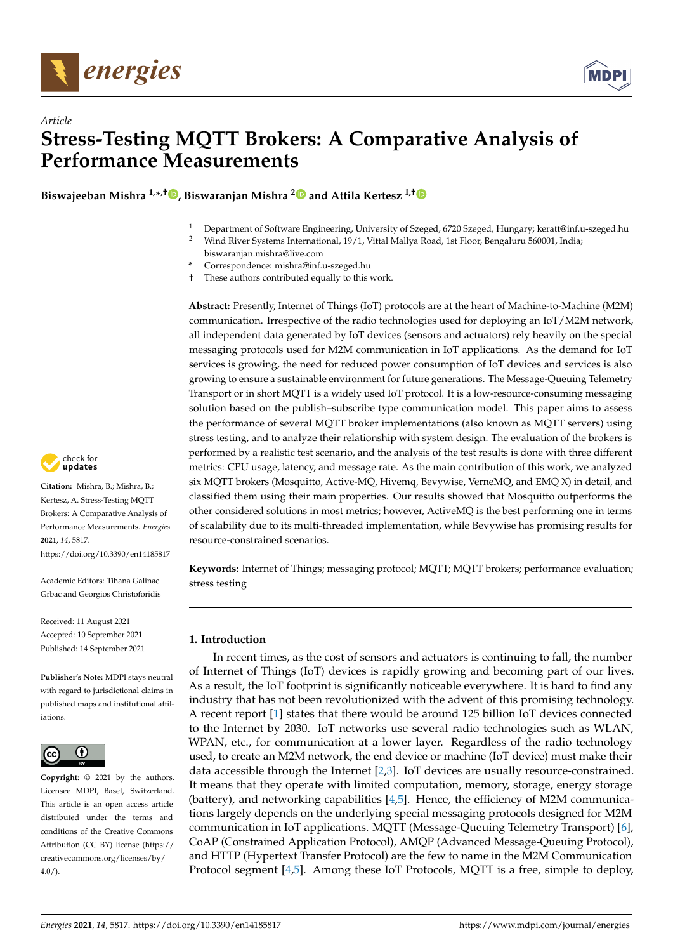



# *Article* **Stress-Testing MQTT Brokers: A Comparative Analysis of Performance Measurements**

**Biswajeeban Mishra 1,\* ,† [,](https://orcid.org/0000-0003-2624-1905) Biswaranjan Mishra [2](https://orcid.org/0000-0003-0833-5748) and Attila Kertesz 1,[†](https://orcid.org/0000-0002-9457-2928)**

- <sup>1</sup> Department of Software Engineering, University of Szeged, 6720 Szeged, Hungary; keratt@inf.u-szeged.hu<br><sup>2</sup> Wind Piver Systems International 19.(1 Vittal Mallya Road, 1st Eleor Bengalury 560001 India:
- <sup>2</sup> Wind River Systems International, 19/1, Vittal Mallya Road, 1st Floor, Bengaluru 560001, India; biswaranjan.mishra@live.com
- **\*** Correspondence: mishra@inf.u-szeged.hu
- † These authors contributed equally to this work.

**Abstract:** Presently, Internet of Things (IoT) protocols are at the heart of Machine-to-Machine (M2M) communication. Irrespective of the radio technologies used for deploying an IoT/M2M network, all independent data generated by IoT devices (sensors and actuators) rely heavily on the special messaging protocols used for M2M communication in IoT applications. As the demand for IoT services is growing, the need for reduced power consumption of IoT devices and services is also growing to ensure a sustainable environment for future generations. The Message-Queuing Telemetry Transport or in short MQTT is a widely used IoT protocol. It is a low-resource-consuming messaging solution based on the publish–subscribe type communication model. This paper aims to assess the performance of several MQTT broker implementations (also known as MQTT servers) using stress testing, and to analyze their relationship with system design. The evaluation of the brokers is performed by a realistic test scenario, and the analysis of the test results is done with three different metrics: CPU usage, latency, and message rate. As the main contribution of this work, we analyzed six MQTT brokers (Mosquitto, Active-MQ, Hivemq, Bevywise, VerneMQ, and EMQ X) in detail, and classified them using their main properties. Our results showed that Mosquitto outperforms the other considered solutions in most metrics; however, ActiveMQ is the best performing one in terms of scalability due to its multi-threaded implementation, while Bevywise has promising results for resource-constrained scenarios.

**Keywords:** Internet of Things; messaging protocol; MQTT; MQTT brokers; performance evaluation; stress testing

# **1. Introduction**

In recent times, as the cost of sensors and actuators is continuing to fall, the number of Internet of Things (IoT) devices is rapidly growing and becoming part of our lives. As a result, the IoT footprint is significantly noticeable everywhere. It is hard to find any industry that has not been revolutionized with the advent of this promising technology. A recent report [\[1\]](#page-17-0) states that there would be around 125 billion IoT devices connected to the Internet by 2030. IoT networks use several radio technologies such as WLAN, WPAN, etc., for communication at a lower layer. Regardless of the radio technology used, to create an M2M network, the end device or machine (IoT device) must make their data accessible through the Internet [\[2,](#page-17-1)[3\]](#page-17-2). IoT devices are usually resource-constrained. It means that they operate with limited computation, memory, storage, energy storage (battery), and networking capabilities  $[4,5]$  $[4,5]$ . Hence, the efficiency of M2M communications largely depends on the underlying special messaging protocols designed for M2M communication in IoT applications. MQTT (Message-Queuing Telemetry Transport) [\[6\]](#page-17-5), CoAP (Constrained Application Protocol), AMQP (Advanced Message-Queuing Protocol), and HTTP (Hypertext Transfer Protocol) are the few to name in the M2M Communication Protocol segment [\[4,](#page-17-3)[5\]](#page-17-4). Among these IoT Protocols, MQTT is a free, simple to deploy,



**Citation:** Mishra, B.; Mishra, B.; Kertesz, A. Stress-Testing MQTT Brokers: A Comparative Analysis of Performance Measurements. *Energies* **2021**, *14*, 5817. <https://doi.org/10.3390/en14185817>

Academic Editors: Tihana Galinac Grbac and Georgios Christoforidis

Received: 11 August 2021 Accepted: 10 September 2021 Published: 14 September 2021

**Publisher's Note:** MDPI stays neutral with regard to jurisdictional claims in published maps and institutional affiliations.



**Copyright:** © 2021 by the authors. Licensee MDPI, Basel, Switzerland. This article is an open access article distributed under the terms and conditions of the Creative Commons Attribution (CC BY) license (https:/[/](https://creativecommons.org/licenses/by/4.0/) [creativecommons.org/licenses/by/](https://creativecommons.org/licenses/by/4.0/)  $4.0/$ ).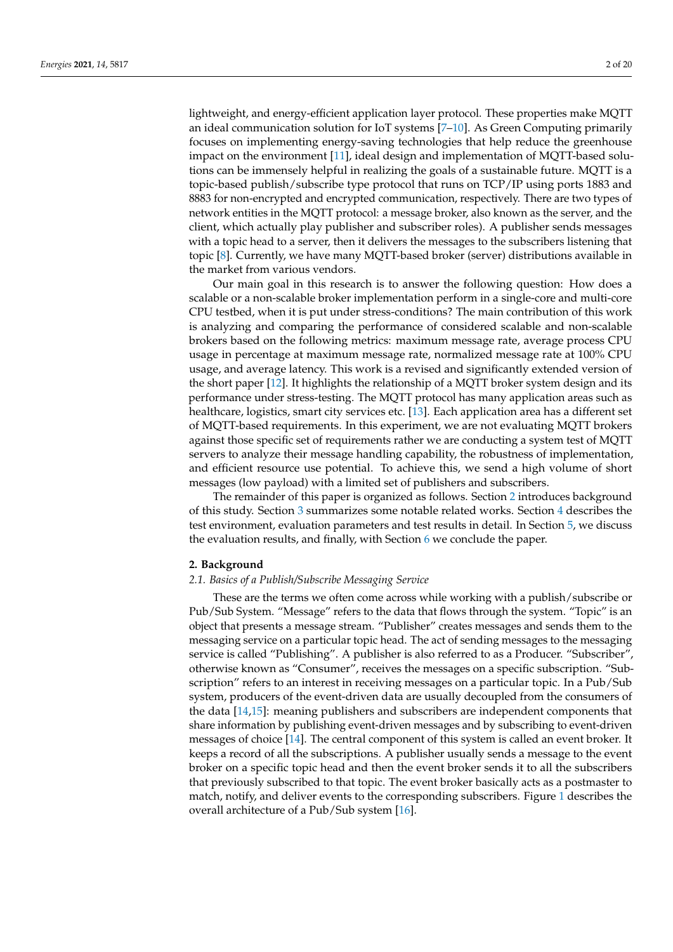lightweight, and energy-efficient application layer protocol. These properties make MQTT an ideal communication solution for IoT systems [\[7](#page-17-6)[–10\]](#page-18-0). As Green Computing primarily focuses on implementing energy-saving technologies that help reduce the greenhouse impact on the environment [\[11\]](#page-18-1), ideal design and implementation of MQTT-based solutions can be immensely helpful in realizing the goals of a sustainable future. MQTT is a topic-based publish/subscribe type protocol that runs on TCP/IP using ports 1883 and 8883 for non-encrypted and encrypted communication, respectively. There are two types of network entities in the MQTT protocol: a message broker, also known as the server, and the client, which actually play publisher and subscriber roles). A publisher sends messages with a topic head to a server, then it delivers the messages to the subscribers listening that topic [\[8\]](#page-18-2). Currently, we have many MQTT-based broker (server) distributions available in the market from various vendors.

Our main goal in this research is to answer the following question: How does a scalable or a non-scalable broker implementation perform in a single-core and multi-core CPU testbed, when it is put under stress-conditions? The main contribution of this work is analyzing and comparing the performance of considered scalable and non-scalable brokers based on the following metrics: maximum message rate, average process CPU usage in percentage at maximum message rate, normalized message rate at 100% CPU usage, and average latency. This work is a revised and significantly extended version of the short paper [\[12\]](#page-18-3). It highlights the relationship of a MQTT broker system design and its performance under stress-testing. The MQTT protocol has many application areas such as healthcare, logistics, smart city services etc. [\[13\]](#page-18-4). Each application area has a different set of MQTT-based requirements. In this experiment, we are not evaluating MQTT brokers against those specific set of requirements rather we are conducting a system test of MQTT servers to analyze their message handling capability, the robustness of implementation, and efficient resource use potential. To achieve this, we send a high volume of short messages (low payload) with a limited set of publishers and subscribers.

The remainder of this paper is organized as follows. Section [2](#page-1-0) introduces background of this study. Section [3](#page-5-0) summarizes some notable related works. Section [4](#page-6-0) describes the test environment, evaluation parameters and test results in detail. In Section [5,](#page-12-0) we discuss the evaluation results, and finally, with Section [6](#page-16-0) we conclude the paper.

## <span id="page-1-0"></span>**2. Background**

#### *2.1. Basics of a Publish/Subscribe Messaging Service*

These are the terms we often come across while working with a publish/subscribe or Pub/Sub System. "Message" refers to the data that flows through the system. "Topic" is an object that presents a message stream. "Publisher" creates messages and sends them to the messaging service on a particular topic head. The act of sending messages to the messaging service is called "Publishing". A publisher is also referred to as a Producer. "Subscriber", otherwise known as "Consumer", receives the messages on a specific subscription. "Subscription" refers to an interest in receiving messages on a particular topic. In a Pub/Sub system, producers of the event-driven data are usually decoupled from the consumers of the data [\[14](#page-18-5)[,15\]](#page-18-6): meaning publishers and subscribers are independent components that share information by publishing event-driven messages and by subscribing to event-driven messages of choice [\[14\]](#page-18-5). The central component of this system is called an event broker. It keeps a record of all the subscriptions. A publisher usually sends a message to the event broker on a specific topic head and then the event broker sends it to all the subscribers that previously subscribed to that topic. The event broker basically acts as a postmaster to match, notify, and deliver events to the corresponding subscribers. Figure [1](#page-2-0) describes the overall architecture of a Pub/Sub system [\[16\]](#page-18-7).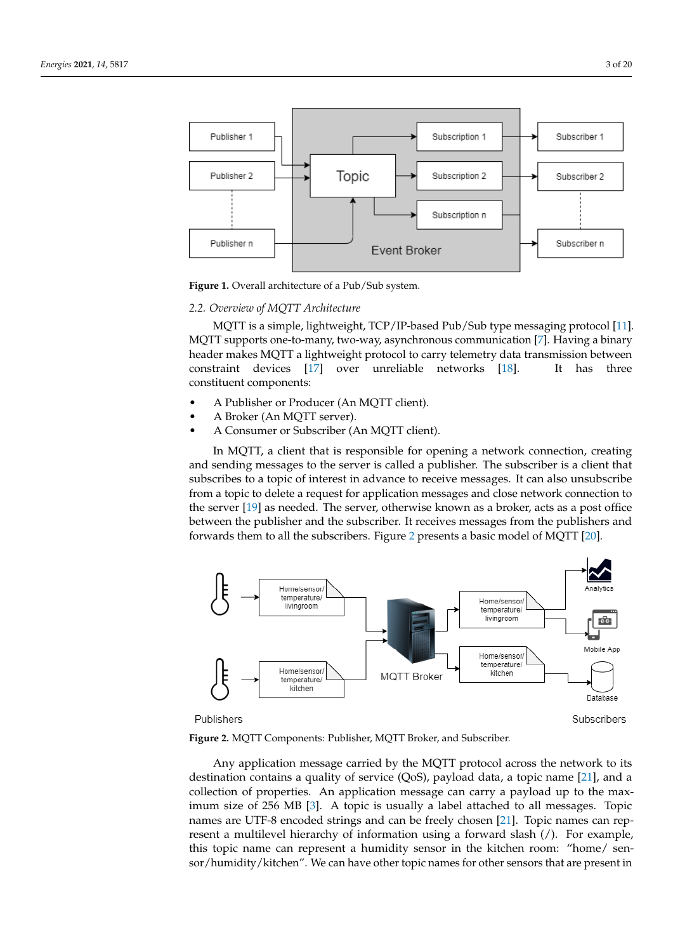<span id="page-2-0"></span>

**Figure 1.** Overall architecture of a Pub/Sub system.

#### *2.2. Overview of MQTT Architecture*

MQTT is a simple, lightweight, TCP/IP-based Pub/Sub type messaging protocol [\[11\]](#page-18-1). MQTT supports one-to-many, two-way, asynchronous communication [\[7\]](#page-17-6). Having a binary header makes MQTT a lightweight protocol to carry telemetry data transmission between constraint devices [\[17\]](#page-18-8) over unreliable networks [\[18\]](#page-18-9). It has three constituent components:

- A Publisher or Producer (An MQTT client).
- A Broker (An MQTT server).
- A Consumer or Subscriber (An MQTT client).

In MQTT, a client that is responsible for opening a network connection, creating and sending messages to the server is called a publisher. The subscriber is a client that subscribes to a topic of interest in advance to receive messages. It can also unsubscribe from a topic to delete a request for application messages and close network connection to the server [\[19\]](#page-18-10) as needed. The server, otherwise known as a broker, acts as a post office between the publisher and the subscriber. It receives messages from the publishers and forwards them to all the subscribers. Figure [2](#page-2-1) presents a basic model of MQTT [\[20\]](#page-18-11).

<span id="page-2-1"></span>

**Figure 2.** MQTT Components: Publisher, MQTT Broker, and Subscriber.

Any application message carried by the MQTT protocol across the network to its destination contains a quality of service (QoS), payload data, a topic name [\[21\]](#page-18-12), and a collection of properties. An application message can carry a payload up to the maximum size of 256 MB [\[3\]](#page-17-2). A topic is usually a label attached to all messages. Topic names are UTF-8 encoded strings and can be freely chosen [\[21\]](#page-18-12). Topic names can represent a multilevel hierarchy of information using a forward slash (/). For example, this topic name can represent a humidity sensor in the kitchen room: "home/ sensor/humidity/kitchen". We can have other topic names for other sensors that are present in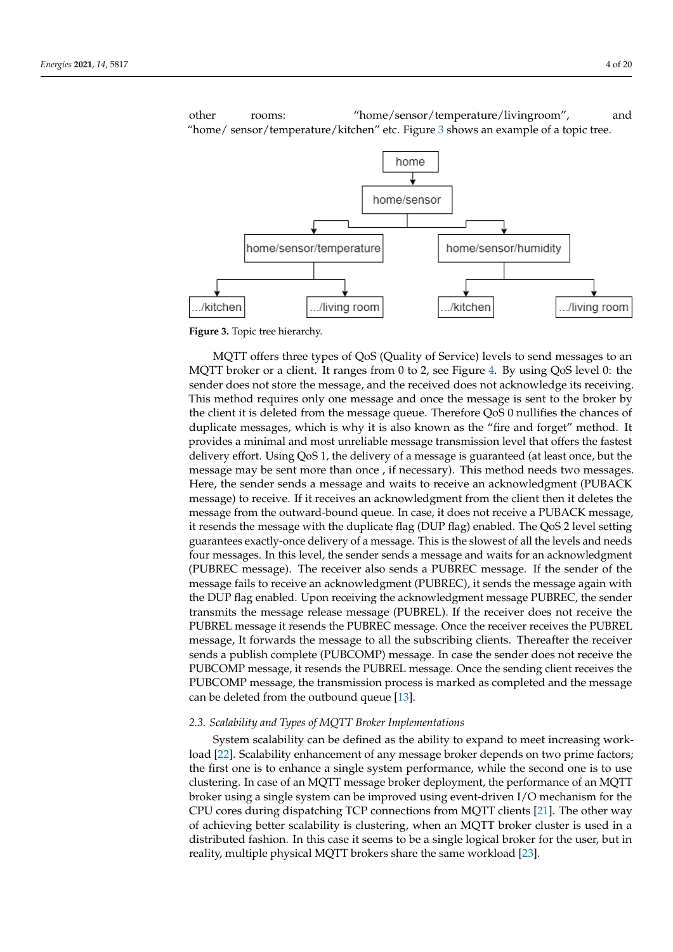<span id="page-3-0"></span>

other rooms: "home/sensor/temperature/livingroom", and "home/ sensor/temperature/kitchen" etc. Figure [3](#page-3-0) shows an example of a topic tree.

**Figure 3.** Topic tree hierarchy.

MQTT offers three types of QoS (Quality of Service) levels to send messages to an MQTT broker or a client. It ranges from 0 to 2, see Figure [4.](#page-4-0) By using QoS level 0: the sender does not store the message, and the received does not acknowledge its receiving. This method requires only one message and once the message is sent to the broker by the client it is deleted from the message queue. Therefore QoS 0 nullifies the chances of duplicate messages, which is why it is also known as the "fire and forget" method. It provides a minimal and most unreliable message transmission level that offers the fastest delivery effort. Using QoS 1, the delivery of a message is guaranteed (at least once, but the message may be sent more than once , if necessary). This method needs two messages. Here, the sender sends a message and waits to receive an acknowledgment (PUBACK message) to receive. If it receives an acknowledgment from the client then it deletes the message from the outward-bound queue. In case, it does not receive a PUBACK message, it resends the message with the duplicate flag (DUP flag) enabled. The QoS 2 level setting guarantees exactly-once delivery of a message. This is the slowest of all the levels and needs four messages. In this level, the sender sends a message and waits for an acknowledgment (PUBREC message). The receiver also sends a PUBREC message. If the sender of the message fails to receive an acknowledgment (PUBREC), it sends the message again with the DUP flag enabled. Upon receiving the acknowledgment message PUBREC, the sender transmits the message release message (PUBREL). If the receiver does not receive the PUBREL message it resends the PUBREC message. Once the receiver receives the PUBREL message, It forwards the message to all the subscribing clients. Thereafter the receiver sends a publish complete (PUBCOMP) message. In case the sender does not receive the PUBCOMP message, it resends the PUBREL message. Once the sending client receives the PUBCOMP message, the transmission process is marked as completed and the message can be deleted from the outbound queue [\[13\]](#page-18-4).

## *2.3. Scalability and Types of MQTT Broker Implementations*

System scalability can be defined as the ability to expand to meet increasing workload [\[22\]](#page-18-13). Scalability enhancement of any message broker depends on two prime factors; the first one is to enhance a single system performance, while the second one is to use clustering. In case of an MQTT message broker deployment, the performance of an MQTT broker using a single system can be improved using event-driven I/O mechanism for the CPU cores during dispatching TCP connections from MQTT clients [\[21\]](#page-18-12). The other way of achieving better scalability is clustering, when an MQTT broker cluster is used in a distributed fashion. In this case it seems to be a single logical broker for the user, but in reality, multiple physical MQTT brokers share the same workload [\[23\]](#page-18-14).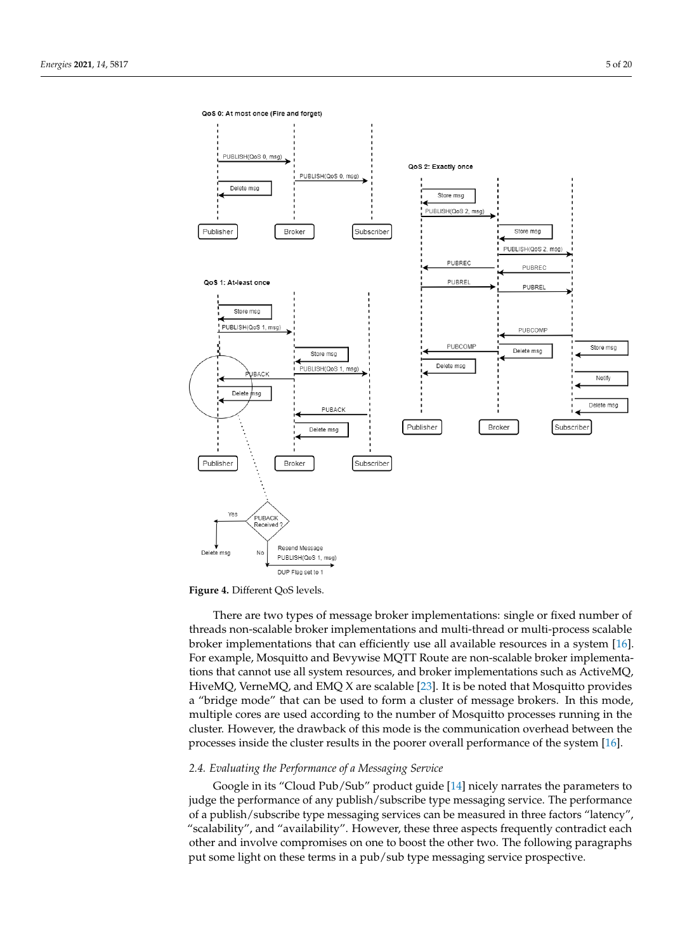<span id="page-4-0"></span>

**Figure 4.** Different QoS levels.

No

PUBACK Received

Resend Message

PUBLISH(QoS 1, msg) DUP Flag set to 1

Yes

Delete msg

There are two types of message broker implementations: single or fixed number of threads non-scalable broker implementations and multi-thread or multi-process scalable broker implementations that can efficiently use all available resources in a system [\[16\]](#page-18-7). For example, Mosquitto and Bevywise MQTT Route are non-scalable broker implementations that cannot use all system resources, and broker implementations such as ActiveMQ, HiveMQ, VerneMQ, and EMQ X are scalable [\[23\]](#page-18-14). It is be noted that Mosquitto provides a "bridge mode" that can be used to form a cluster of message brokers. In this mode, multiple cores are used according to the number of Mosquitto processes running in the cluster. However, the drawback of this mode is the communication overhead between the processes inside the cluster results in the poorer overall performance of the system [\[16\]](#page-18-7).

## *2.4. Evaluating the Performance of a Messaging Service*

Google in its "Cloud Pub/Sub" product guide [\[14\]](#page-18-5) nicely narrates the parameters to judge the performance of any publish/subscribe type messaging service. The performance of a publish/subscribe type messaging services can be measured in three factors "latency", "scalability", and "availability". However, these three aspects frequently contradict each other and involve compromises on one to boost the other two. The following paragraphs put some light on these terms in a pub/sub type messaging service prospective.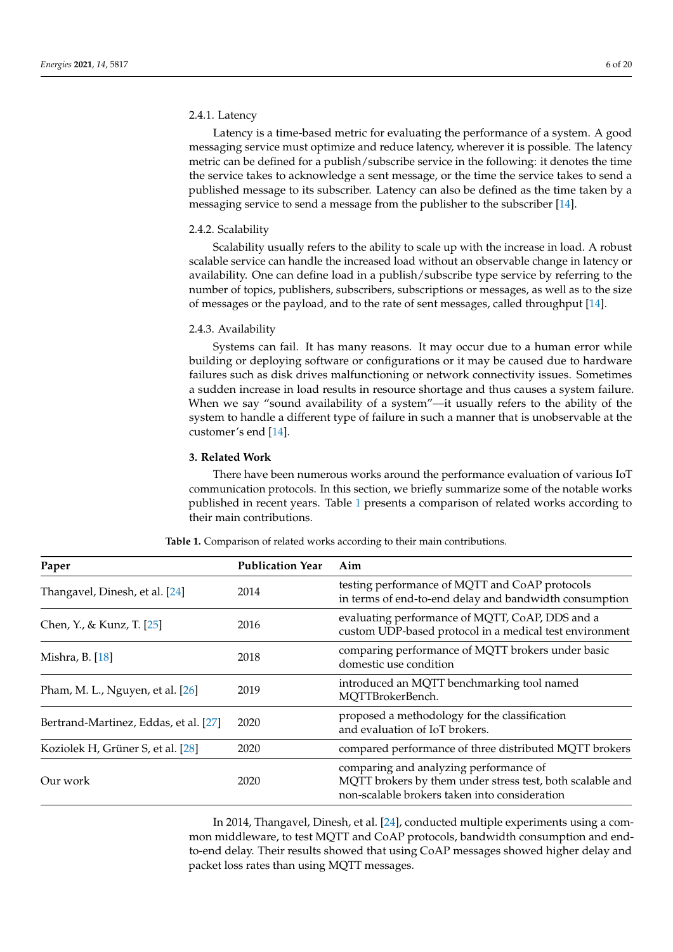# 2.4.1. Latency

Latency is a time-based metric for evaluating the performance of a system. A good messaging service must optimize and reduce latency, wherever it is possible. The latency metric can be defined for a publish/subscribe service in the following: it denotes the time the service takes to acknowledge a sent message, or the time the service takes to send a published message to its subscriber. Latency can also be defined as the time taken by a messaging service to send a message from the publisher to the subscriber [\[14\]](#page-18-5).

#### 2.4.2. Scalability

Scalability usually refers to the ability to scale up with the increase in load. A robust scalable service can handle the increased load without an observable change in latency or availability. One can define load in a publish/subscribe type service by referring to the number of topics, publishers, subscribers, subscriptions or messages, as well as to the size of messages or the payload, and to the rate of sent messages, called throughput [\[14\]](#page-18-5).

#### 2.4.3. Availability

Systems can fail. It has many reasons. It may occur due to a human error while building or deploying software or configurations or it may be caused due to hardware failures such as disk drives malfunctioning or network connectivity issues. Sometimes a sudden increase in load results in resource shortage and thus causes a system failure. When we say "sound availability of a system"—it usually refers to the ability of the system to handle a different type of failure in such a manner that is unobservable at the customer's end [\[14\]](#page-18-5).

## <span id="page-5-0"></span>**3. Related Work**

There have been numerous works around the performance evaluation of various IoT communication protocols. In this section, we briefly summarize some of the notable works published in recent years. Table [1](#page-5-1) presents a comparison of related works according to their main contributions.

<span id="page-5-1"></span>

| Paper                                 | <b>Publication Year</b> | Aim                                                                                                                                                  |
|---------------------------------------|-------------------------|------------------------------------------------------------------------------------------------------------------------------------------------------|
| Thangavel, Dinesh, et al. [24]        | 2014                    | testing performance of MQTT and CoAP protocols<br>in terms of end-to-end delay and bandwidth consumption                                             |
| Chen, Y., & Kunz, T. [25]             | 2016                    | evaluating performance of MQTT, CoAP, DDS and a<br>custom UDP-based protocol in a medical test environment                                           |
| Mishra, B. [18]                       | 2018                    | comparing performance of MQTT brokers under basic<br>domestic use condition                                                                          |
| Pham, M. L., Nguyen, et al. [26]      | 2019                    | introduced an MQTT benchmarking tool named<br>MQTTBrokerBench.                                                                                       |
| Bertrand-Martinez, Eddas, et al. [27] | 2020                    | proposed a methodology for the classification<br>and evaluation of IoT brokers.                                                                      |
| Koziolek H, Grüner S, et al. [28]     | 2020                    | compared performance of three distributed MQTT brokers                                                                                               |
| Our work                              | 2020                    | comparing and analyzing performance of<br>MQTT brokers by them under stress test, both scalable and<br>non-scalable brokers taken into consideration |

**Table 1.** Comparison of related works according to their main contributions.

In 2014, Thangavel, Dinesh, et al. [\[24\]](#page-18-15), conducted multiple experiments using a common middleware, to test MQTT and CoAP protocols, bandwidth consumption and endto-end delay. Their results showed that using CoAP messages showed higher delay and packet loss rates than using MQTT messages.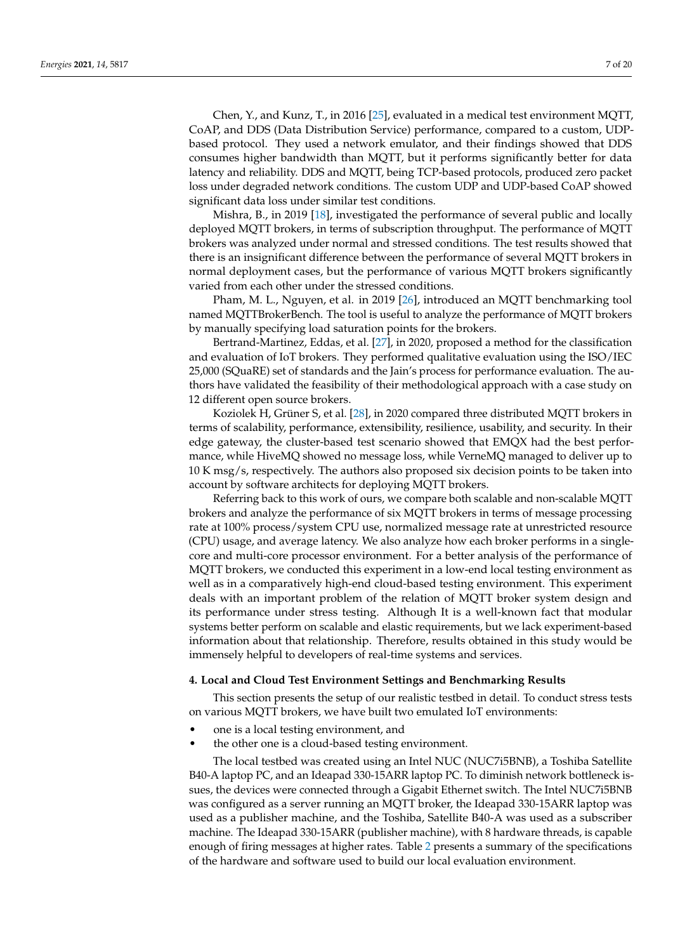Chen, Y., and Kunz, T., in 2016 [\[25\]](#page-18-16), evaluated in a medical test environment MQTT, CoAP, and DDS (Data Distribution Service) performance, compared to a custom, UDPbased protocol. They used a network emulator, and their findings showed that DDS consumes higher bandwidth than MQTT, but it performs significantly better for data latency and reliability. DDS and MQTT, being TCP-based protocols, produced zero packet loss under degraded network conditions. The custom UDP and UDP-based CoAP showed significant data loss under similar test conditions.

Mishra, B., in 2019 [\[18\]](#page-18-9), investigated the performance of several public and locally deployed MQTT brokers, in terms of subscription throughput. The performance of MQTT brokers was analyzed under normal and stressed conditions. The test results showed that there is an insignificant difference between the performance of several MQTT brokers in normal deployment cases, but the performance of various MQTT brokers significantly varied from each other under the stressed conditions.

Pham, M. L., Nguyen, et al. in 2019 [\[26\]](#page-18-17), introduced an MQTT benchmarking tool named MQTTBrokerBench. The tool is useful to analyze the performance of MQTT brokers by manually specifying load saturation points for the brokers.

Bertrand-Martinez, Eddas, et al. [\[27\]](#page-18-18), in 2020, proposed a method for the classification and evaluation of IoT brokers. They performed qualitative evaluation using the ISO/IEC 25,000 (SQuaRE) set of standards and the Jain's process for performance evaluation. The authors have validated the feasibility of their methodological approach with a case study on 12 different open source brokers.

Koziolek H, Grüner S, et al. [\[28\]](#page-18-19), in 2020 compared three distributed MQTT brokers in terms of scalability, performance, extensibility, resilience, usability, and security. In their edge gateway, the cluster-based test scenario showed that EMQX had the best performance, while HiveMQ showed no message loss, while VerneMQ managed to deliver up to 10 K msg/s, respectively. The authors also proposed six decision points to be taken into account by software architects for deploying MQTT brokers.

Referring back to this work of ours, we compare both scalable and non-scalable MQTT brokers and analyze the performance of six MQTT brokers in terms of message processing rate at 100% process/system CPU use, normalized message rate at unrestricted resource (CPU) usage, and average latency. We also analyze how each broker performs in a singlecore and multi-core processor environment. For a better analysis of the performance of MQTT brokers, we conducted this experiment in a low-end local testing environment as well as in a comparatively high-end cloud-based testing environment. This experiment deals with an important problem of the relation of MQTT broker system design and its performance under stress testing. Although It is a well-known fact that modular systems better perform on scalable and elastic requirements, but we lack experiment-based information about that relationship. Therefore, results obtained in this study would be immensely helpful to developers of real-time systems and services.

#### <span id="page-6-0"></span>**4. Local and Cloud Test Environment Settings and Benchmarking Results**

This section presents the setup of our realistic testbed in detail. To conduct stress tests on various MQTT brokers, we have built two emulated IoT environments:

- one is a local testing environment, and
- the other one is a cloud-based testing environment.

The local testbed was created using an Intel NUC (NUC7i5BNB), a Toshiba Satellite B40-A laptop PC, and an Ideapad 330-15ARR laptop PC. To diminish network bottleneck issues, the devices were connected through a Gigabit Ethernet switch. The Intel NUC7i5BNB was configured as a server running an MQTT broker, the Ideapad 330-15ARR laptop was used as a publisher machine, and the Toshiba, Satellite B40-A was used as a subscriber machine. The Ideapad 330-15ARR (publisher machine), with 8 hardware threads, is capable enough of firing messages at higher rates. Table [2](#page-7-0) presents a summary of the specifications of the hardware and software used to build our local evaluation environment.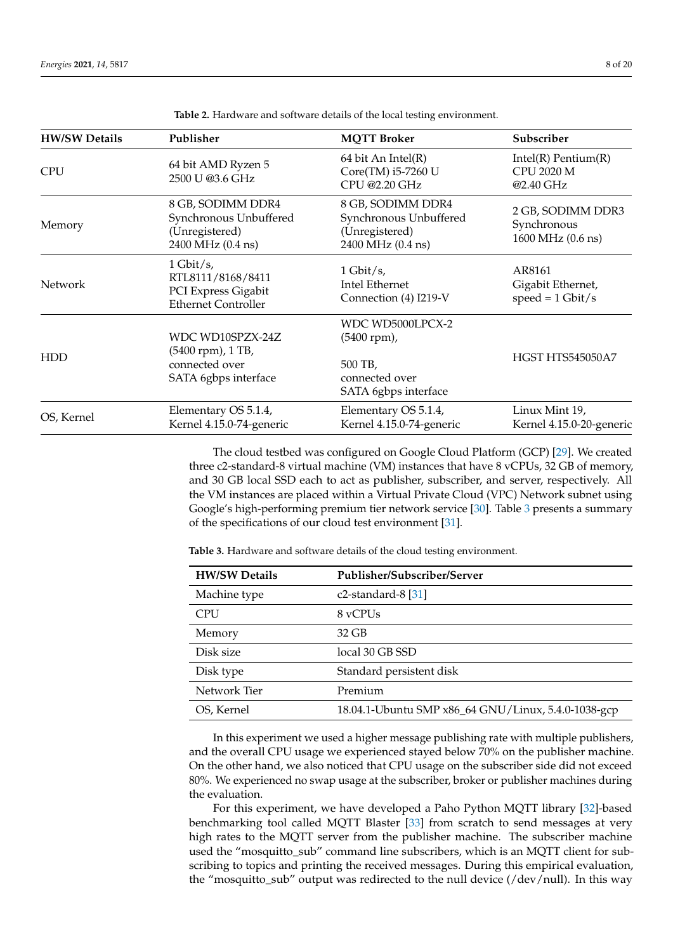<span id="page-7-0"></span>

| <b>HW/SW Details</b>                                                                                                                                     | Publisher                                                                             | <b>MQTT Broker</b>                                                                   | Subscriber                                                  |
|----------------------------------------------------------------------------------------------------------------------------------------------------------|---------------------------------------------------------------------------------------|--------------------------------------------------------------------------------------|-------------------------------------------------------------|
| <b>CPU</b>                                                                                                                                               | 64 bit AMD Ryzen 5<br>2500 U @3.6 GHz                                                 | 64 bit An Intel(R)<br>Core(TM) i5-7260 U<br>CPU @2.20 GHz                            | Intel $(R)$ Pentium $(R)$<br><b>CPU 2020 M</b><br>@2.40 GHz |
| 8 GB, SODIMM DDR4<br>8 GB, SODIMM DDR4<br>Synchronous Unbuffered<br>Memory<br>(Unregistered)<br>(Unregistered)<br>2400 MHz (0.4 ns)<br>2400 MHz (0.4 ns) |                                                                                       | Synchronous Unbuffered                                                               | 2 GB, SODIMM DDR3<br>Synchronous<br>1600 MHz (0.6 ns)       |
| Network                                                                                                                                                  | $1$ Gbit/s,<br>RTL8111/8168/8411<br>PCI Express Gigabit<br><b>Ethernet Controller</b> | $1$ Gbit/s,<br>Intel Ethernet<br>Connection (4) I219-V                               | AR8161<br>Gigabit Ethernet,<br>$speed = 1 Gbit/s$           |
| WDC WD10SPZX-24Z<br>(5400 rpm), 1 TB,<br><b>HDD</b><br>connected over<br>SATA 6gbps interface                                                            |                                                                                       | WDC WD5000LPCX-2<br>(5400 rpm),<br>500 TB,<br>connected over<br>SATA 6gbps interface | <b>HGST HTS545050A7</b>                                     |
| OS, Kernel                                                                                                                                               | Elementary OS 5.1.4,<br>Kernel 4.15.0-74-generic                                      | Elementary OS 5.1.4,<br>Kernel 4.15.0-74-generic                                     | Linux Mint 19,<br>Kernel 4.15.0-20-generic                  |

**Table 2.** Hardware and software details of the local testing environment.

The cloud testbed was configured on Google Cloud Platform (GCP) [\[29\]](#page-18-20). We created three c2-standard-8 virtual machine (VM) instances that have 8 vCPUs, 32 GB of memory, and 30 GB local SSD each to act as publisher, subscriber, and server, respectively. All the VM instances are placed within a Virtual Private Cloud (VPC) Network subnet using Google's high-performing premium tier network service [\[30\]](#page-18-21). Table [3](#page-7-1) presents a summary of the specifications of our cloud test environment [\[31\]](#page-18-22).

<span id="page-7-1"></span>**Table 3.** Hardware and software details of the cloud testing environment.

| <b>HW/SW Details</b> | Publisher/Subscriber/Server                         |
|----------------------|-----------------------------------------------------|
| Machine type         | c <sub>2</sub> -standard-8 <sup>[31]</sup>          |
| <b>CPU</b>           | 8 vCPUs                                             |
| Memory               | 32 GB                                               |
| Disk size            | local 30 GB SSD                                     |
| Disk type            | Standard persistent disk                            |
| Network Tier         | Premium                                             |
| OS, Kernel           | 18.04.1-Ubuntu SMP x86_64 GNU/Linux, 5.4.0-1038-gcp |

In this experiment we used a higher message publishing rate with multiple publishers, and the overall CPU usage we experienced stayed below 70% on the publisher machine. On the other hand, we also noticed that CPU usage on the subscriber side did not exceed 80%. We experienced no swap usage at the subscriber, broker or publisher machines during the evaluation.

For this experiment, we have developed a Paho Python MQTT library [\[32\]](#page-18-23)-based benchmarking tool called MQTT Blaster [\[33\]](#page-18-24) from scratch to send messages at very high rates to the MQTT server from the publisher machine. The subscriber machine used the "mosquitto\_sub" command line subscribers, which is an MQTT client for subscribing to topics and printing the received messages. During this empirical evaluation, the "mosquitto\_sub" output was redirected to the null device (/dev/null). In this way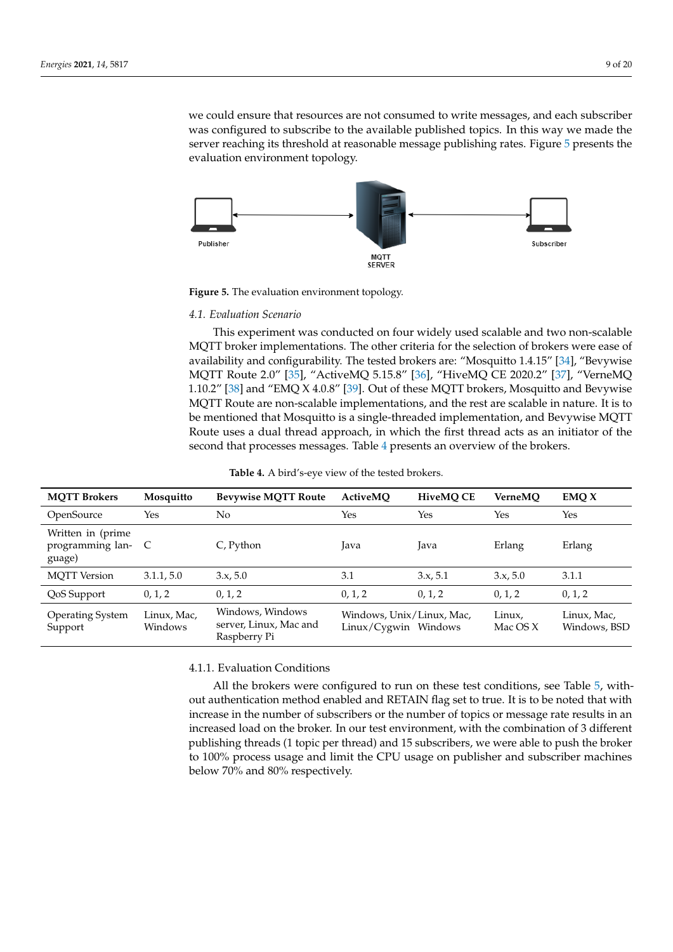we could ensure that resources are not consumed to write messages, and each subscriber was configured to subscribe to the available published topics. In this way we made the server reaching its threshold at reasonable message publishing rates. Figure [5](#page-8-0) presents the evaluation environment topology.

<span id="page-8-0"></span>

**Figure 5.** The evaluation environment topology.

# *4.1. Evaluation Scenario*

This experiment was conducted on four widely used scalable and two non-scalable MQTT broker implementations. The other criteria for the selection of brokers were ease of availability and configurability. The tested brokers are: "Mosquitto 1.4.15" [\[34\]](#page-18-25), "Bevywise MQTT Route 2.0" [\[35\]](#page-18-26), "ActiveMQ 5.15.8" [\[36\]](#page-18-27), "HiveMQ CE 2020.2" [\[37\]](#page-19-0), "VerneMQ 1.10.2" [\[38\]](#page-19-1) and "EMQ X 4.0.8" [\[39\]](#page-19-2). Out of these MQTT brokers, Mosquitto and Bevywise MQTT Route are non-scalable implementations, and the rest are scalable in nature. It is to be mentioned that Mosquitto is a single-threaded implementation, and Bevywise MQTT Route uses a dual thread approach, in which the first thread acts as an initiator of the second that processes messages. Table [4](#page-8-1) presents an overview of the brokers.

<span id="page-8-1"></span>

| <b>MQTT Brokers</b>                             | Mosquitto              | <b>Bevywise MQTT Route</b>                                 | <b>ActiveMO</b>                                   | <b>HiveMQ CE</b> | <b>VerneMO</b>     | EMQX                        |
|-------------------------------------------------|------------------------|------------------------------------------------------------|---------------------------------------------------|------------------|--------------------|-----------------------------|
| OpenSource                                      | Yes                    | No                                                         | Yes                                               | Yes              | Yes                | Yes                         |
| Written in (prime<br>programming lan-<br>guage) | $\mathbb{C}$           | C, Python                                                  | Java                                              | Java             | Erlang             | Erlang                      |
| <b>MOTT</b> Version                             | 3.1.1, 5.0             | 3.x, 5.0                                                   | 3.1                                               | 3.x, 5.1         | 3.x, 5.0           | 3.1.1                       |
| QoS Support                                     | 0, 1, 2                | 0, 1, 2                                                    | 0, 1, 2                                           | 0, 1, 2          | 0, 1, 2            | 0, 1, 2                     |
| <b>Operating System</b><br>Support              | Linux, Mac,<br>Windows | Windows, Windows<br>server, Linux, Mac and<br>Raspberry Pi | Windows, Unix/Linux, Mac,<br>Linux/Cygwin Windows |                  | Linux,<br>Mac OS X | Linux, Mac,<br>Windows, BSD |

**Table 4.** A bird's-eye view of the tested brokers.

## 4.1.1. Evaluation Conditions

All the brokers were configured to run on these test conditions, see Table [5,](#page-9-0) without authentication method enabled and RETAIN flag set to true. It is to be noted that with increase in the number of subscribers or the number of topics or message rate results in an increased load on the broker. In our test environment, with the combination of 3 different publishing threads (1 topic per thread) and 15 subscribers, we were able to push the broker to 100% process usage and limit the CPU usage on publisher and subscriber machines below 70% and 80% respectively.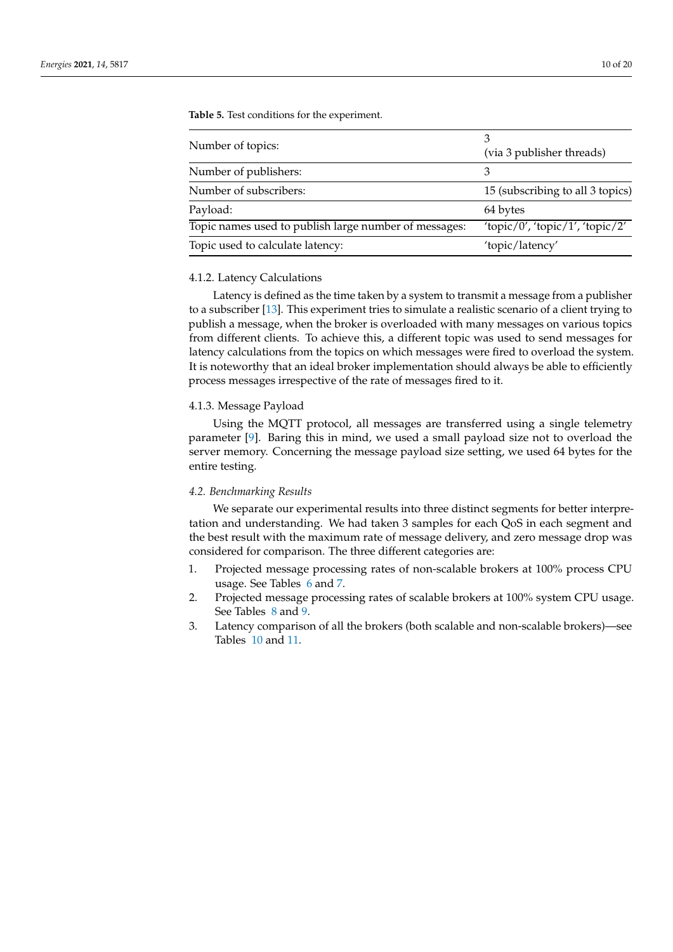<span id="page-9-0"></span>**Table 5.** Test conditions for the experiment.

| Number of topics:                                     | (via 3 publisher threads)        |
|-------------------------------------------------------|----------------------------------|
| Number of publishers:                                 | З                                |
| Number of subscribers:                                | 15 (subscribing to all 3 topics) |
| Payload:                                              | 64 bytes                         |
| Topic names used to publish large number of messages: | 'topic/0', 'topic/1', 'topic/2'  |
| Topic used to calculate latency:                      | 'topic/latency'                  |

## 4.1.2. Latency Calculations

Latency is defined as the time taken by a system to transmit a message from a publisher to a subscriber [\[13\]](#page-18-4). This experiment tries to simulate a realistic scenario of a client trying to publish a message, when the broker is overloaded with many messages on various topics from different clients. To achieve this, a different topic was used to send messages for latency calculations from the topics on which messages were fired to overload the system. It is noteworthy that an ideal broker implementation should always be able to efficiently process messages irrespective of the rate of messages fired to it.

### 4.1.3. Message Payload

Using the MQTT protocol, all messages are transferred using a single telemetry parameter [\[9\]](#page-18-28). Baring this in mind, we used a small payload size not to overload the server memory. Concerning the message payload size setting, we used 64 bytes for the entire testing.

## *4.2. Benchmarking Results*

We separate our experimental results into three distinct segments for better interpretation and understanding. We had taken 3 samples for each QoS in each segment and the best result with the maximum rate of message delivery, and zero message drop was considered for comparison. The three different categories are:

- 1. Projected message processing rates of non-scalable brokers at 100% process CPU usage. See Tables [6](#page-10-0) and [7.](#page-10-1)
- 2. Projected message processing rates of scalable brokers at 100% system CPU usage. See Tables [8](#page-11-0) and [9.](#page-11-1)
- 3. Latency comparison of all the brokers (both scalable and non-scalable brokers)—see Tables [10](#page-12-1) and [11.](#page-12-2)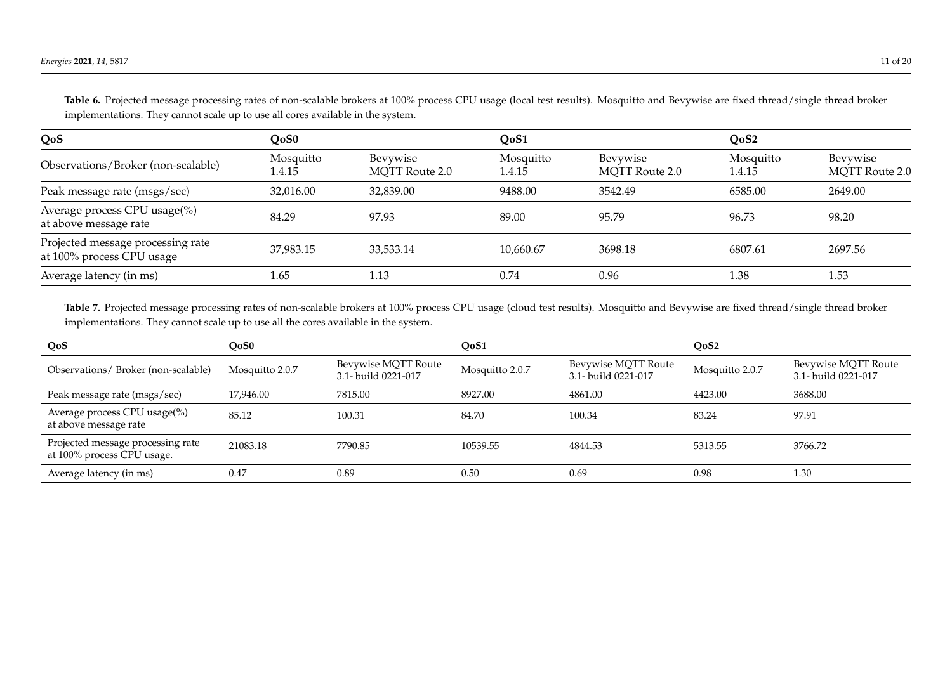| QoS                                                            | QoS0                |                            | QoS1                |                                   | QoS2                |                                   |
|----------------------------------------------------------------|---------------------|----------------------------|---------------------|-----------------------------------|---------------------|-----------------------------------|
| Observations/Broker (non-scalable)                             | Mosquitto<br>1.4.15 | Bevywise<br>MQTT Route 2.0 | Mosquitto<br>1.4.15 | Bevywise<br><b>MQTT</b> Route 2.0 | Mosquitto<br>1.4.15 | Bevywise<br><b>MQTT</b> Route 2.0 |
| Peak message rate (msgs/sec)                                   | 32,016.00           | 32,839.00                  | 9488.00             | 3542.49                           | 6585.00             | 2649.00                           |
| Average process CPU usage(%)<br>at above message rate          | 84.29               | 97.93                      | 89.00               | 95.79                             | 96.73               | 98.20                             |
| Projected message processing rate<br>at 100% process CPU usage | 37,983.15           | 33,533.14                  | 10,660.67           | 3698.18                           | 6807.61             | 2697.56                           |
| Average latency (in ms)                                        | 1.65                | 1.13                       | 0.74                | 0.96                              | 1.38                | 1.53                              |

Table 6. Projected message processing rates of non-scalable brokers at 100% process CPU usage (local test results). Mosquitto and Bevywise are fixed thread/single thread broker implementations. They cannot scale up to use all cores available in the system.

Table 7. Projected message processing rates of non-scalable brokers at 100% process CPU usage (cloud test results). Mosquitto and Bevywise are fixed thread/single thread broker implementations. They cannot scale up to use all the cores available in the system.

<span id="page-10-1"></span><span id="page-10-0"></span>

| QoS                                                             | OoS0            |                                            | QoS1            |                                            | QoS2            |                                            |
|-----------------------------------------------------------------|-----------------|--------------------------------------------|-----------------|--------------------------------------------|-----------------|--------------------------------------------|
| Observations/Broker (non-scalable)                              | Mosquitto 2.0.7 | Bevywise MQTT Route<br>3.1- build 0221-017 | Mosquitto 2.0.7 | Bevywise MQTT Route<br>3.1- build 0221-017 | Mosquitto 2.0.7 | Bevywise MQTT Route<br>3.1- build 0221-017 |
| Peak message rate (msgs/sec)                                    | 17,946.00       | 7815.00                                    | 8927.00         | 4861.00                                    | 4423.00         | 3688.00                                    |
| Average process CPU usage(%)<br>at above message rate           | 85.12           | 100.31                                     | 84.70           | 100.34                                     | 83.24           | 97.91                                      |
| Projected message processing rate<br>at 100% process CPU usage. | 21083.18        | 7790.85                                    | 10539.55        | 4844.53                                    | 5313.55         | 3766.72                                    |
| Average latency (in ms)                                         | 0.47            | 0.89                                       | 0.50            | 0.69                                       | 0.98            | 1.30                                       |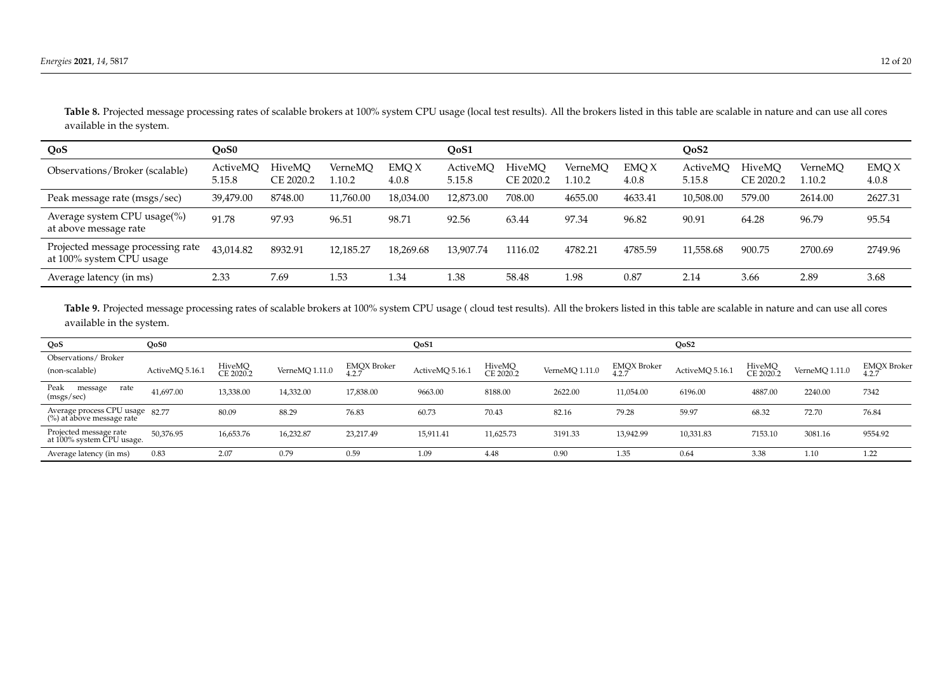| QoS                                                           | OoS0               |                     |                   |                | QoS1               |                     |                  |                | QoS2               |                     |                  |                |
|---------------------------------------------------------------|--------------------|---------------------|-------------------|----------------|--------------------|---------------------|------------------|----------------|--------------------|---------------------|------------------|----------------|
| Observations/Broker (scalable)                                | ActiveMO<br>5.15.8 | HiveMO<br>CE 2020.2 | VerneMO<br>1.10.2 | EMO X<br>4.0.8 | ActiveMO<br>5.15.8 | HiveMO<br>CE 2020.2 | VerneMO<br>.10.2 | EMO X<br>4.0.8 | ActiveMO<br>5.15.8 | HiveMO<br>CE 2020.2 | VerneMO<br>.10.2 | EMO X<br>4.0.8 |
| Peak message rate (msgs/sec)                                  | 39,479.00          | 8748.00             | 11,760.00         | 18,034.00      | 12,873.00          | 708.00              | 4655.00          | 4633.41        | 10,508.00          | 579.00              | 2614.00          | 2627.31        |
| Average system CPU usage(%)<br>at above message rate          | 91.78              | 97.93               | 96.51             | 98.71          | 92.56              | 63.44               | 97.34            | 96.82          | 90.91              | 64.28               | 96.79            | 95.54          |
| Projected message processing rate<br>at 100% system CPU usage | 43,014.82          | 8932.91             | 12,185.27         | 18,269.68      | 13,907.74          | 1116.02             | 4782.21          | 4785.59        | 11,558.68          | 900.75              | 2700.69          | 2749.96        |
| Average latency (in ms)                                       | 2.33               | 7.69                | 1.53              | 1.34           | 1.38               | 58.48               | 1.98             | 0.87           | 2.14               | 3.66                | 2.89             | 3.68           |

Table 8. Projected message processing rates of scalable brokers at 100% system CPU usage (local test results). All the brokers listed in this table are scalable in nature and can use all cores available in the system.

Table 9. Projected message processing rates of scalable brokers at 100% system CPU usage (cloud test results). All the brokers listed in this table are scalable in nature and can use all cores available in the system.

<span id="page-11-1"></span><span id="page-11-0"></span>

| QoS                                                          | OoS0            |                     |                |                             | QoS1            |                     |                |                             | QoS2            |                     |                |                      |
|--------------------------------------------------------------|-----------------|---------------------|----------------|-----------------------------|-----------------|---------------------|----------------|-----------------------------|-----------------|---------------------|----------------|----------------------|
| Observations/Broker                                          |                 |                     |                |                             |                 |                     |                |                             |                 |                     |                |                      |
| (non-scalable)                                               | ActiveMQ 5.16.1 | HiveMQ<br>CE 2020.2 | VerneMQ 1.11.0 | <b>EMQX</b> Broker<br>4.2.7 | ActiveMQ 5.16.1 | HiveMQ<br>CE 2020.2 | VerneMQ 1.11.0 | <b>EMQX</b> Broker<br>4.2.7 | ActiveMQ 5.16.1 | HiveMQ<br>CE 2020.2 | VerneMQ 1.11.0 | EMQX Broker<br>4.2.7 |
| Peak<br>message<br>rate<br>(msgs/sec)                        | 41,697.00       | 13,338.00           | 14,332.00      | 17,838.00                   | 9663.00         | 8188.00             | 2622.00        | 11,054.00                   | 6196.00         | 4887.00             | 2240.00        | 7342                 |
| Average process CPU usage 82.77<br>(%) at above message rate |                 | 80.09               | 88.29          | 76.83                       | 60.73           | 70.43               | 82.16          | 79.28                       | 59.97           | 68.32               | 72.70          | 76.84                |
| Projected message rate<br>at 100% system CPU usage.          | 50,376.95       | 16,653.76           | 16,232.87      | 23,217.49                   | 15,911.41       | 11,625.73           | 3191.33        | 13.942.99                   | 10,331.83       | 7153.10             | 3081.16        | 9554.92              |
| Average latency (in ms)                                      | 0.83            | 2.07                | 0.79           | 0.59                        | 1.09            | 4.48                | 0.90           | 1.35                        | 0.64            | 3.38                | 1.10           | 1.22                 |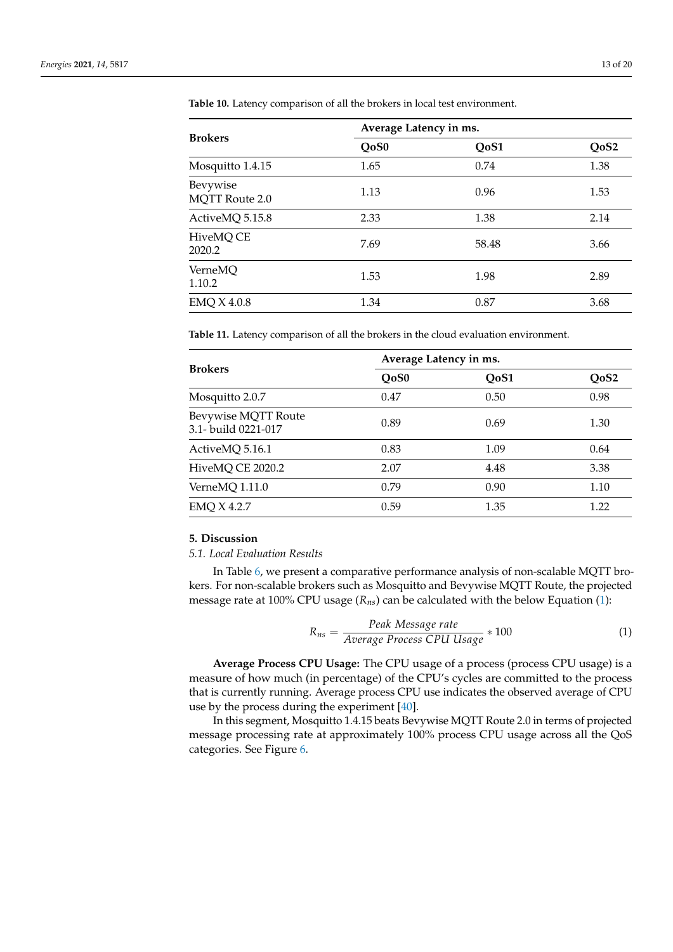|                                   | Average Latency in ms. |       |                  |  |  |  |
|-----------------------------------|------------------------|-------|------------------|--|--|--|
| <b>Brokers</b>                    | QoS0                   | QoS1  | QoS <sub>2</sub> |  |  |  |
| Mosquitto 1.4.15                  | 1.65                   | 0.74  | 1.38             |  |  |  |
| Bevywise<br><b>MQTT Route 2.0</b> | 1.13                   | 0.96  | 1.53             |  |  |  |
| ActiveMQ 5.15.8                   | 2.33                   | 1.38  | 2.14             |  |  |  |
| HiveMQ CE<br>2020.2               | 7.69                   | 58.48 | 3.66             |  |  |  |
| VerneMQ<br>1.10.2                 | 1.53                   | 1.98  | 2.89             |  |  |  |
| EMQ X 4.0.8                       | 1.34                   | 0.87  | 3.68             |  |  |  |

<span id="page-12-1"></span>**Table 10.** Latency comparison of all the brokers in local test environment.

<span id="page-12-2"></span>**Table 11.** Latency comparison of all the brokers in the cloud evaluation environment.

|                                            | Average Latency in ms.        |      |                               |  |  |  |
|--------------------------------------------|-------------------------------|------|-------------------------------|--|--|--|
| <b>Brokers</b>                             | Q <sub>o</sub> S <sub>0</sub> | QoS1 | Q <sub>o</sub> S <sub>2</sub> |  |  |  |
| Mosquitto 2.0.7                            | 0.47                          | 0.50 | 0.98                          |  |  |  |
| Bevywise MQTT Route<br>3.1- build 0221-017 | 0.89                          | 0.69 | 1.30                          |  |  |  |
| ActiveMQ 5.16.1                            | 0.83                          | 1.09 | 0.64                          |  |  |  |
| HiveMQ CE 2020.2                           | 2.07                          | 4.48 | 3.38                          |  |  |  |
| VerneMQ 1.11.0                             | 0.79                          | 0.90 | 1.10                          |  |  |  |
| EMQ X 4.2.7                                | 0.59                          | 1.35 | 1.22                          |  |  |  |

# <span id="page-12-0"></span>**5. Discussion**

*5.1. Local Evaluation Results*

In Table [6,](#page-10-0) we present a comparative performance analysis of non-scalable MQTT brokers. For non-scalable brokers such as Mosquitto and Bevywise MQTT Route, the projected message rate at 100% CPU usage (*Rns*) can be calculated with the below Equation [\(1\)](#page-12-3):

<span id="page-12-3"></span>
$$
R_{ns} = \frac{Peak Message rate}{Average Process CPU Usage} * 100
$$
 (1)

**Average Process CPU Usage:** The CPU usage of a process (process CPU usage) is a measure of how much (in percentage) of the CPU's cycles are committed to the process that is currently running. Average process CPU use indicates the observed average of CPU use by the process during the experiment [\[40\]](#page-19-3).

In this segment, Mosquitto 1.4.15 beats Bevywise MQTT Route 2.0 in terms of projected message processing rate at approximately 100% process CPU usage across all the QoS categories. See Figure [6.](#page-13-0)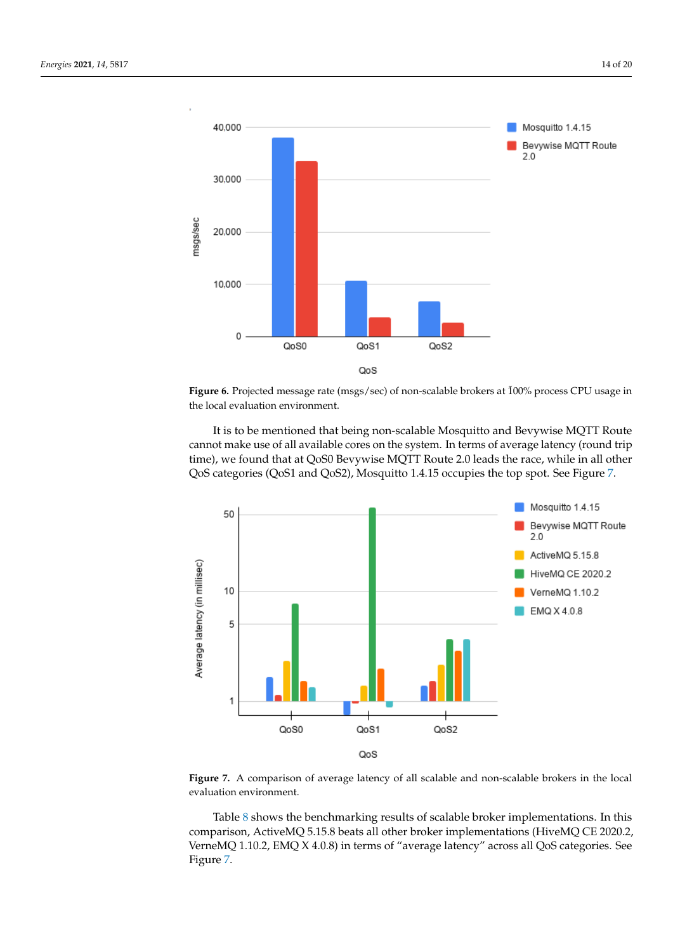<span id="page-13-0"></span>

Figure 6. Projected message rate (msgs/sec) of non-scalable brokers at  $100\%$  process CPU usage in the local evaluation environment.

It is to be mentioned that being non-scalable Mosquitto and Bevywise MQTT Route cannot make use of all available cores on the system. In terms of average latency (round trip time), we found that at QoS0 Bevywise MQTT Route 2.0 leads the race, while in all other QoS categories (QoS1 and QoS2), Mosquitto 1.4.15 occupies the top spot. See Figure [7.](#page-13-1)

<span id="page-13-1"></span>

**Figure 7.** A comparison of average latency of all scalable and non-scalable brokers in the local evaluation environment.

Table [8](#page-11-0) shows the benchmarking results of scalable broker implementations. In this comparison, ActiveMQ 5.15.8 beats all other broker implementations (HiveMQ CE 2020.2, VerneMQ 1.10.2, EMQ X 4.0.8) in terms of "average latency" across all QoS categories. See Figure [7.](#page-13-1)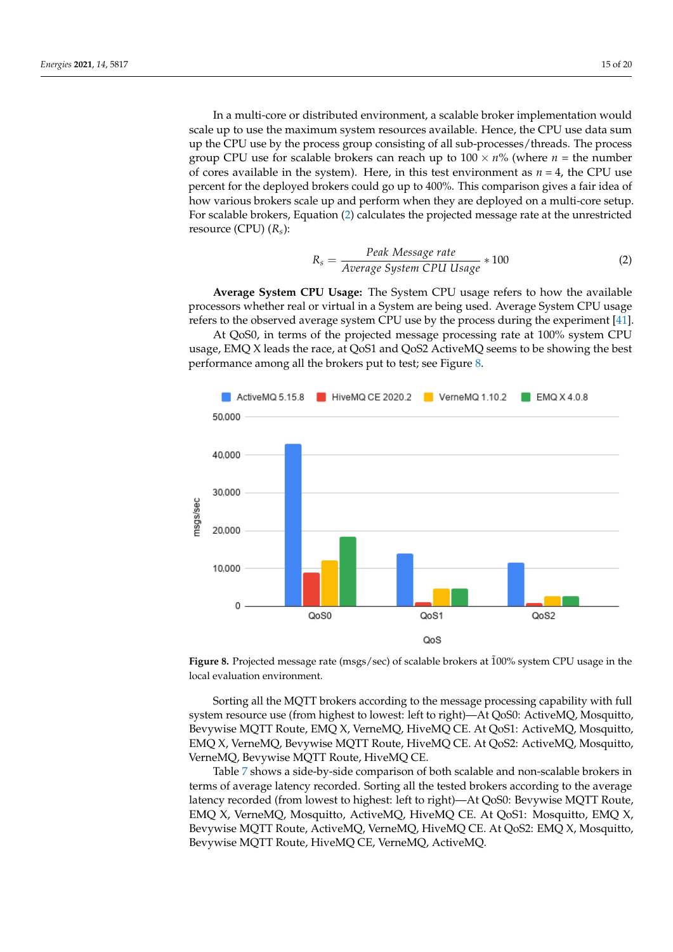In a multi-core or distributed environment, a scalable broker implementation would scale up to use the maximum system resources available. Hence, the CPU use data sum up the CPU use by the process group consisting of all sub-processes/threads. The process group CPU use for scalable brokers can reach up to  $100 \times n\%$  (where *n* = the number of cores available in the system). Here, in this test environment as  $n = 4$ , the CPU use percent for the deployed brokers could go up to 400%. This comparison gives a fair idea of how various brokers scale up and perform when they are deployed on a multi-core setup. For scalable brokers, Equation [\(2\)](#page-14-0) calculates the projected message rate at the unrestricted resource (CPU) (*Rs*):

<span id="page-14-0"></span>
$$
R_s = \frac{Peak Message rate}{Average System CPU Usage * 100}
$$
 (2)

**Average System CPU Usage:** The System CPU usage refers to how the available processors whether real or virtual in a System are being used. Average System CPU usage refers to the observed average system CPU use by the process during the experiment [\[41\]](#page-19-4).

At QoS0, in terms of the projected message processing rate at 100% system CPU usage, EMQ X leads the race, at QoS1 and QoS2 ActiveMQ seems to be showing the best performance among all the brokers put to test; see Figure [8.](#page-14-1)

<span id="page-14-1"></span>

Figure 8. Projected message rate (msgs/sec) of scalable brokers at  $100\%$  system CPU usage in the local evaluation environment.

Sorting all the MQTT brokers according to the message processing capability with full system resource use (from highest to lowest: left to right)—At QoS0: ActiveMQ, Mosquitto, Bevywise MQTT Route, EMQ X, VerneMQ, HiveMQ CE. At QoS1: ActiveMQ, Mosquitto, EMQ X, VerneMQ, Bevywise MQTT Route, HiveMQ CE. At QoS2: ActiveMQ, Mosquitto, VerneMQ, Bevywise MQTT Route, HiveMQ CE.

Table [7](#page-13-1) shows a side-by-side comparison of both scalable and non-scalable brokers in terms of average latency recorded. Sorting all the tested brokers according to the average latency recorded (from lowest to highest: left to right)—At QoS0: Bevywise MQTT Route, EMQ X, VerneMQ, Mosquitto, ActiveMQ, HiveMQ CE. At QoS1: Mosquitto, EMQ X, Bevywise MQTT Route, ActiveMQ, VerneMQ, HiveMQ CE. At QoS2: EMQ X, Mosquitto, Bevywise MQTT Route, HiveMQ CE, VerneMQ, ActiveMQ.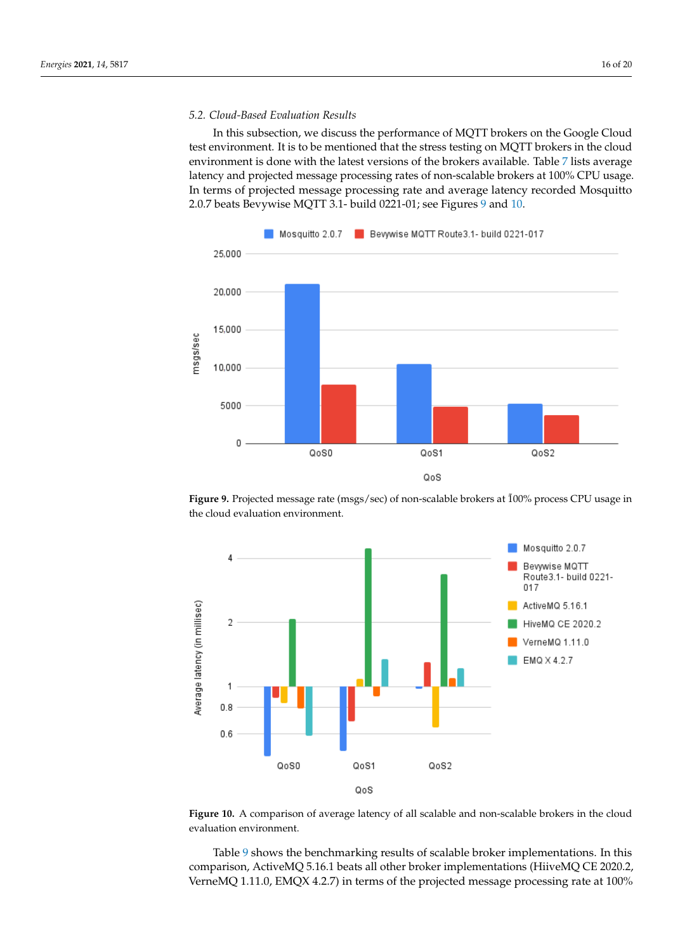# *5.2. Cloud-Based Evaluation Results*

In this subsection, we discuss the performance of MQTT brokers on the Google Cloud test environment. It is to be mentioned that the stress testing on MQTT brokers in the cloud environment is done with the latest versions of the brokers available. Table [7](#page-10-1) lists average latency and projected message processing rates of non-scalable brokers at 100% CPU usage. In terms of projected message processing rate and average latency recorded Mosquitto 2.0.7 beats Bevywise MQTT 3.1- build 0221-01; see Figures [9](#page-15-0) and [10.](#page-15-1)

<span id="page-15-0"></span>

Figure 9. Projected message rate (msgs/sec) of non-scalable brokers at 100% process CPU usage in the cloud evaluation environment.

<span id="page-15-1"></span>



Table [9](#page-11-1) shows the benchmarking results of scalable broker implementations. In this comparison, ActiveMQ 5.16.1 beats all other broker implementations (HiiveMQ CE 2020.2, VerneMQ 1.11.0, EMQX 4.2.7) in terms of the projected message processing rate at 100%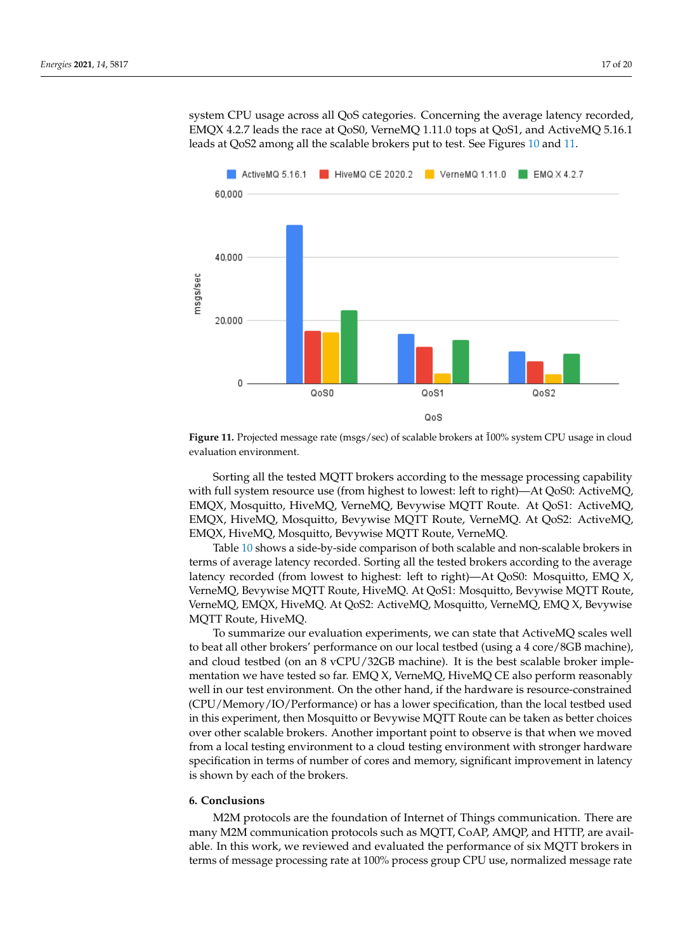system CPU usage across all QoS categories. Concerning the average latency recorded, EMQX 4.2.7 leads the race at QoS0, VerneMQ 1.11.0 tops at QoS1, and ActiveMQ 5.16.1 leads at QoS2 among all the scalable brokers put to test. See Figures [10](#page-15-1) and [11.](#page-16-1)

<span id="page-16-1"></span>

Figure 11. Projected message rate (msgs/sec) of scalable brokers at  $100\%$  system CPU usage in cloud evaluation environment.

Sorting all the tested MQTT brokers according to the message processing capability with full system resource use (from highest to lowest: left to right)—At QoS0: ActiveMQ, EMQX, Mosquitto, HiveMQ, VerneMQ, Bevywise MQTT Route. At QoS1: ActiveMQ, EMQX, HiveMQ, Mosquitto, Bevywise MQTT Route, VerneMQ. At QoS2: ActiveMQ, EMQX, HiveMQ, Mosquitto, Bevywise MQTT Route, VerneMQ.

Table [10](#page-15-1) shows a side-by-side comparison of both scalable and non-scalable brokers in terms of average latency recorded. Sorting all the tested brokers according to the average latency recorded (from lowest to highest: left to right)—At QoS0: Mosquitto, EMQ X, VerneMQ, Bevywise MQTT Route, HiveMQ. At QoS1: Mosquitto, Bevywise MQTT Route, VerneMQ, EMQX, HiveMQ. At QoS2: ActiveMQ, Mosquitto, VerneMQ, EMQ X, Bevywise MQTT Route, HiveMQ.

To summarize our evaluation experiments, we can state that ActiveMQ scales well to beat all other brokers' performance on our local testbed (using a 4 core/8GB machine), and cloud testbed (on an 8 vCPU/32GB machine). It is the best scalable broker implementation we have tested so far. EMQ X, VerneMQ, HiveMQ CE also perform reasonably well in our test environment. On the other hand, if the hardware is resource-constrained (CPU/Memory/IO/Performance) or has a lower specification, than the local testbed used in this experiment, then Mosquitto or Bevywise MQTT Route can be taken as better choices over other scalable brokers. Another important point to observe is that when we moved from a local testing environment to a cloud testing environment with stronger hardware specification in terms of number of cores and memory, significant improvement in latency is shown by each of the brokers.

## <span id="page-16-0"></span>**6. Conclusions**

M2M protocols are the foundation of Internet of Things communication. There are many M2M communication protocols such as MQTT, CoAP, AMQP, and HTTP, are available. In this work, we reviewed and evaluated the performance of six MQTT brokers in terms of message processing rate at 100% process group CPU use, normalized message rate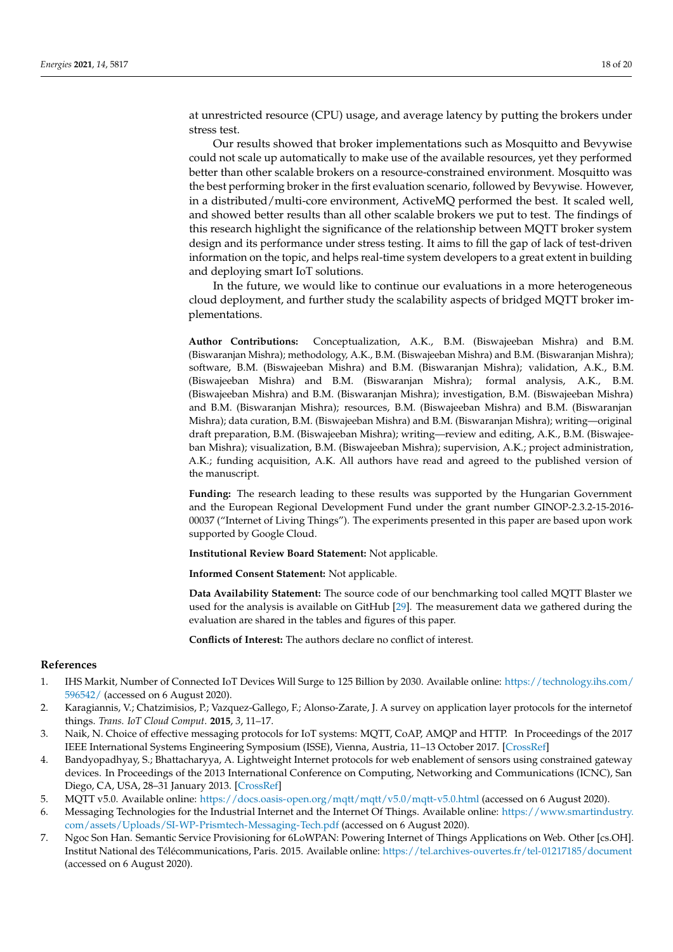at unrestricted resource (CPU) usage, and average latency by putting the brokers under stress test.

Our results showed that broker implementations such as Mosquitto and Bevywise could not scale up automatically to make use of the available resources, yet they performed better than other scalable brokers on a resource-constrained environment. Mosquitto was the best performing broker in the first evaluation scenario, followed by Bevywise. However, in a distributed/multi-core environment, ActiveMQ performed the best. It scaled well, and showed better results than all other scalable brokers we put to test. The findings of this research highlight the significance of the relationship between MQTT broker system design and its performance under stress testing. It aims to fill the gap of lack of test-driven information on the topic, and helps real-time system developers to a great extent in building and deploying smart IoT solutions.

In the future, we would like to continue our evaluations in a more heterogeneous cloud deployment, and further study the scalability aspects of bridged MQTT broker implementations.

**Author Contributions:** Conceptualization, A.K., B.M. (Biswajeeban Mishra) and B.M. (Biswaranjan Mishra); methodology, A.K., B.M. (Biswajeeban Mishra) and B.M. (Biswaranjan Mishra); software, B.M. (Biswajeeban Mishra) and B.M. (Biswaranjan Mishra); validation, A.K., B.M. (Biswajeeban Mishra) and B.M. (Biswaranjan Mishra); formal analysis, A.K., B.M. (Biswajeeban Mishra) and B.M. (Biswaranjan Mishra); investigation, B.M. (Biswajeeban Mishra) and B.M. (Biswaranjan Mishra); resources, B.M. (Biswajeeban Mishra) and B.M. (Biswaranjan Mishra); data curation, B.M. (Biswajeeban Mishra) and B.M. (Biswaranjan Mishra); writing—original draft preparation, B.M. (Biswajeeban Mishra); writing—review and editing, A.K., B.M. (Biswajeeban Mishra); visualization, B.M. (Biswajeeban Mishra); supervision, A.K.; project administration, A.K.; funding acquisition, A.K. All authors have read and agreed to the published version of the manuscript.

**Funding:** The research leading to these results was supported by the Hungarian Government and the European Regional Development Fund under the grant number GINOP-2.3.2-15-2016- 00037 ("Internet of Living Things"). The experiments presented in this paper are based upon work supported by Google Cloud.

**Institutional Review Board Statement:** Not applicable.

**Informed Consent Statement:** Not applicable.

**Data Availability Statement:** The source code of our benchmarking tool called MQTT Blaster we used for the analysis is available on GitHub [\[29\]](#page-18-20). The measurement data we gathered during the evaluation are shared in the tables and figures of this paper.

**Conflicts of Interest:** The authors declare no conflict of interest.

#### **References**

- <span id="page-17-0"></span>1. IHS Markit, Number of Connected IoT Devices Will Surge to 125 Billion by 2030. Available online: [https://technology.ihs.com/](https://technology.ihs.com/596542/) [596542/](https://technology.ihs.com/596542/) (accessed on 6 August 2020).
- <span id="page-17-1"></span>2. Karagiannis, V.; Chatzimisios, P.; Vazquez-Gallego, F.; Alonso-Zarate, J. A survey on application layer protocols for the internetof things. *Trans. IoT Cloud Comput*. **2015**, *3*, 11–17.
- <span id="page-17-2"></span>3. Naik, N. Choice of effective messaging protocols for IoT systems: MQTT, CoAP, AMQP and HTTP. In Proceedings of the 2017 IEEE International Systems Engineering Symposium (ISSE), Vienna, Austria, 11–13 October 2017. [\[CrossRef\]](http://doi.org/10.1109/syseng.2017.8088251)
- <span id="page-17-3"></span>4. Bandyopadhyay, S.; Bhattacharyya, A. Lightweight Internet protocols for web enablement of sensors using constrained gateway devices. In Proceedings of the 2013 International Conference on Computing, Networking and Communications (ICNC), San Diego, CA, USA, 28–31 January 2013. [\[CrossRef\]](http://dx.doi.org/10.1109/iccnc.2013.6504105)
- <span id="page-17-4"></span>5. MQTT v5.0. Available online: <https://docs.oasis-open.org/mqtt/mqtt/v5.0/mqtt-v5.0.html> (accessed on 6 August 2020).
- <span id="page-17-5"></span>6. Messaging Technologies for the Industrial Internet and the Internet Of Things. Available online: [https://www.smartindustry.](https://www.smartindustry.com/assets/Uploads/SI-WP-Prismtech-Messaging-Tech.pdf) [com/assets/Uploads/SI-WP-Prismtech-Messaging-Tech.pdf](https://www.smartindustry.com/assets/Uploads/SI-WP-Prismtech-Messaging-Tech.pdf) (accessed on 6 August 2020).
- <span id="page-17-6"></span>7. Ngoc Son Han. Semantic Service Provisioning for 6LoWPAN: Powering Internet of Things Applications on Web. Other [cs.OH]. Institut National des Télécommunications, Paris. 2015. Available online: <https://tel.archives-ouvertes.fr/tel-01217185/document> (accessed on 6 August 2020).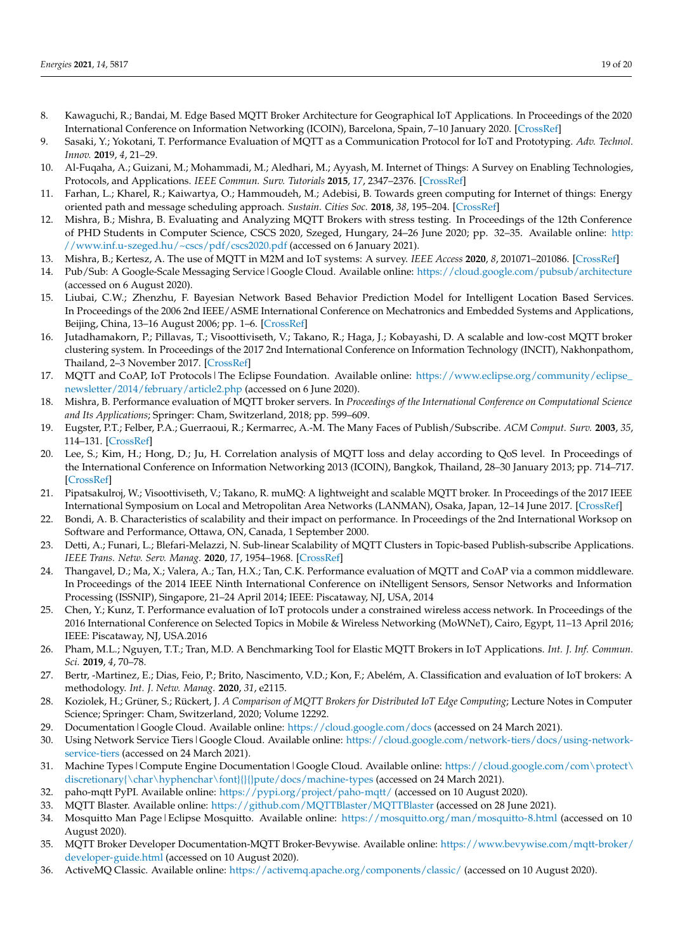- <span id="page-18-2"></span>8. Kawaguchi, R.; Bandai, M. Edge Based MQTT Broker Architecture for Geographical IoT Applications. In Proceedings of the 2020 International Conference on Information Networking (ICOIN), Barcelona, Spain, 7–10 January 2020. [\[CrossRef\]](http://dx.doi.org/10.1109/icoin48656.2020.9016528)
- <span id="page-18-28"></span>9. Sasaki, Y.; Yokotani, T. Performance Evaluation of MQTT as a Communication Protocol for IoT and Prototyping. *Adv. Technol. Innov.* **201**9, *4*, 21–29.
- <span id="page-18-0"></span>10. Al-Fuqaha, A.; Guizani, M.; Mohammadi, M.; Aledhari, M.; Ayyash, M. Internet of Things: A Survey on Enabling Technologies, Protocols, and Applications. *IEEE Commun. Surv. Tutorials* **2015**, *17*, 2347–2376. [\[CrossRef\]](http://dx.doi.org/10.1109/COMST.2015.2444095)
- <span id="page-18-1"></span>11. Farhan, L.; Kharel, R.; Kaiwartya, O.; Hammoudeh, M.; Adebisi, B. Towards green computing for Internet of things: Energy oriented path and message scheduling approach. *Sustain. Cities Soc.* **2018**, *38*, 195–204. [\[CrossRef\]](http://dx.doi.org/10.1016/j.scs.2017.12.018)
- <span id="page-18-3"></span>12. Mishra, B.; Mishra, B. Evaluating and Analyzing MQTT Brokers with stress testing. In Proceedings of the 12th Conference of PHD Students in Computer Science, CSCS 2020, Szeged, Hungary, 24–26 June 2020; pp. 32–35. Available online: [http:](http://www.inf.u-szeged.hu/~cscs/pdf/cscs2020.pdf) [//www.inf.u-szeged.hu/~cscs/pdf/cscs2020.pdf](http://www.inf.u-szeged.hu/~cscs/pdf/cscs2020.pdf) (accessed on 6 January 2021).
- <span id="page-18-4"></span>13. Mishra, B.; Kertesz, A. The use of MQTT in M2M and IoT systems: A survey. *IEEE Access* **2020**, *8*, 201071–201086. [\[CrossRef\]](http://dx.doi.org/10.1109/ACCESS.2020.3035849)
- <span id="page-18-5"></span>14. Pub/Sub: A Google-Scale Messaging Service|Google Cloud. Available online: <https://cloud.google.com/pubsub/architecture> (accessed on 6 August 2020).
- <span id="page-18-6"></span>15. Liubai, C.W.; Zhenzhu, F. Bayesian Network Based Behavior Prediction Model for Intelligent Location Based Services. In Proceedings of the 2006 2nd IEEE/ASME International Conference on Mechatronics and Embedded Systems and Applications, Beijing, China, 13–16 August 2006; pp. 1–6. [\[CrossRef\]](http://dx.doi.org/10.1109/MESA.2006.296936)
- <span id="page-18-7"></span>16. Jutadhamakorn, P.; Pillavas, T.; Visoottiviseth, V.; Takano, R.; Haga, J.; Kobayashi, D. A scalable and low-cost MQTT broker clustering system. In Proceedings of the 2017 2nd International Conference on Information Technology (INCIT), Nakhonpathom, Thailand, 2–3 November 2017. [\[CrossRef\]](http://dx.doi.org/10.1109/incit.2017.8257870)
- <span id="page-18-8"></span>17. MQTT and CoAP, IoT Protocols|The Eclipse Foundation. Available online: [https://www.eclipse.org/community/eclipse\\_](https://www.eclipse.org/community/eclipse_newsletter/2014/february/article2.php) [newsletter/2014/february/article2.php](https://www.eclipse.org/community/eclipse_newsletter/2014/february/article2.php) (accessed on 6 June 2020).
- <span id="page-18-9"></span>18. Mishra, B. Performance evaluation of MQTT broker servers. In *Proceedings of the International Conference on Computational Science and Its Applications*; Springer: Cham, Switzerland, 2018; pp. 599–609.
- <span id="page-18-10"></span>19. Eugster, P.T.; Felber, P.A.; Guerraoui, R.; Kermarrec, A.-M. The Many Faces of Publish/Subscribe. *ACM Comput. Surv.* **2003**, *35*, 114–131. [\[CrossRef\]](http://dx.doi.org/10.1145/857076.857078)
- <span id="page-18-11"></span>20. Lee, S.; Kim, H.; Hong, D.; Ju, H. Correlation analysis of MQTT loss and delay according to QoS level. In Proceedings of the International Conference on Information Networking 2013 (ICOIN), Bangkok, Thailand, 28–30 January 2013; pp. 714–717. [\[CrossRef\]](http://dx.doi.org/10.1109/ICOIN.2013.6496715)
- <span id="page-18-12"></span>21. Pipatsakulroj, W.; Visoottiviseth, V.; Takano, R. muMQ: A lightweight and scalable MQTT broker. In Proceedings of the 2017 IEEE International Symposium on Local and Metropolitan Area Networks (LANMAN), Osaka, Japan, 12–14 June 2017. [\[CrossRef\]](http://dx.doi.org/10.1109/lanman.2017.7972165)
- <span id="page-18-13"></span>22. Bondi, A. B. Characteristics of scalability and their impact on performance. In Proceedings of the 2nd International Worksop on Software and Performance, Ottawa, ON, Canada, 1 September 2000.
- <span id="page-18-14"></span>23. Detti, A.; Funari, L.; Blefari-Melazzi, N. Sub-linear Scalability of MQTT Clusters in Topic-based Publish-subscribe Applications. *IEEE Trans. Netw. Serv. Manag.* **2020**, *17*, 1954–1968. [\[CrossRef\]](http://dx.doi.org/10.1109/TNSM.2020.3003535)
- <span id="page-18-15"></span>24. Thangavel, D.; Ma, X.; Valera, A.; Tan, H.X.; Tan, C.K. Performance evaluation of MQTT and CoAP via a common middleware. In Proceedings of the 2014 IEEE Ninth International Conference on iNtelligent Sensors, Sensor Networks and Information Processing (ISSNIP), Singapore, 21–24 April 2014; IEEE: Piscataway, NJ, USA, 2014
- <span id="page-18-16"></span>25. Chen, Y.; Kunz, T. Performance evaluation of IoT protocols under a constrained wireless access network. In Proceedings of the 2016 International Conference on Selected Topics in Mobile & Wireless Networking (MoWNeT), Cairo, Egypt, 11–13 April 2016; IEEE: Piscataway, NJ, USA.2016
- <span id="page-18-17"></span>26. Pham, M.L.; Nguyen, T.T.; Tran, M.D. A Benchmarking Tool for Elastic MQTT Brokers in IoT Applications. *Int. J. Inf. Commun. Sci.* **2019**, *4*, 70–78.
- <span id="page-18-18"></span>27. Bertr, -Martinez, E.; Dias, Feio, P.; Brito, Nascimento, V.D.; Kon, F.; Abelém, A. Classification and evaluation of IoT brokers: A methodology. *Int. J. Netw. Manag.* **2020**, *31*, e2115.
- <span id="page-18-19"></span>28. Koziolek, H.; Grüner, S.; Rückert, J. *A Comparison of MQTT Brokers for Distributed IoT Edge Computing*; Lecture Notes in Computer Science; Springer: Cham, Switzerland, 2020; Volume 12292.
- <span id="page-18-20"></span>29. Documentation|Google Cloud. Available online: <https://cloud.google.com/docs> (accessed on 24 March 2021).
- <span id="page-18-21"></span>30. Using Network Service Tiers|Google Cloud. Available online: [https://cloud.google.com/network-tiers/docs/using-network](https://cloud.google.com/network-tiers/docs/using-network-service-tiers)[service-tiers](https://cloud.google.com/network-tiers/docs/using-network-service-tiers) (accessed on 24 March 2021).
- <span id="page-18-22"></span>31. Machine Types|Compute Engine Documentation|Google Cloud. Available online: [https://cloud.google.com/com\protect\](https://cloud.google.com/com\protect \discretionary {\char \hyphenchar \font }{}{}pute/docs/machine-types) discretionary{\char\hyphenchar\font}{}pute/docs/machine-types (accessed on 24 March 2021).
- <span id="page-18-23"></span>32. paho-mqtt PyPI. Available online: <https://pypi.org/project/paho-mqtt/> (accessed on 10 August 2020).
- <span id="page-18-24"></span>33. MQTT Blaster. Available online: <https://github.com/MQTTBlaster/MQTTBlaster> (accessed on 28 June 2021).
- <span id="page-18-25"></span>34. Mosquitto Man Page|Eclipse Mosquitto. Available online: <https://mosquitto.org/man/mosquitto-8.html> (accessed on 10 August 2020).
- <span id="page-18-26"></span>35. MQTT Broker Developer Documentation-MQTT Broker-Bevywise. Available online: [https://www.bevywise.com/mqtt-broker/](https://www.bevywise.com/mqtt-broker/developer-guide.html) [developer-guide.html](https://www.bevywise.com/mqtt-broker/developer-guide.html) (accessed on 10 August 2020).
- <span id="page-18-27"></span>36. ActiveMQ Classic. Available online: <https://activemq.apache.org/components/classic/> (accessed on 10 August 2020).